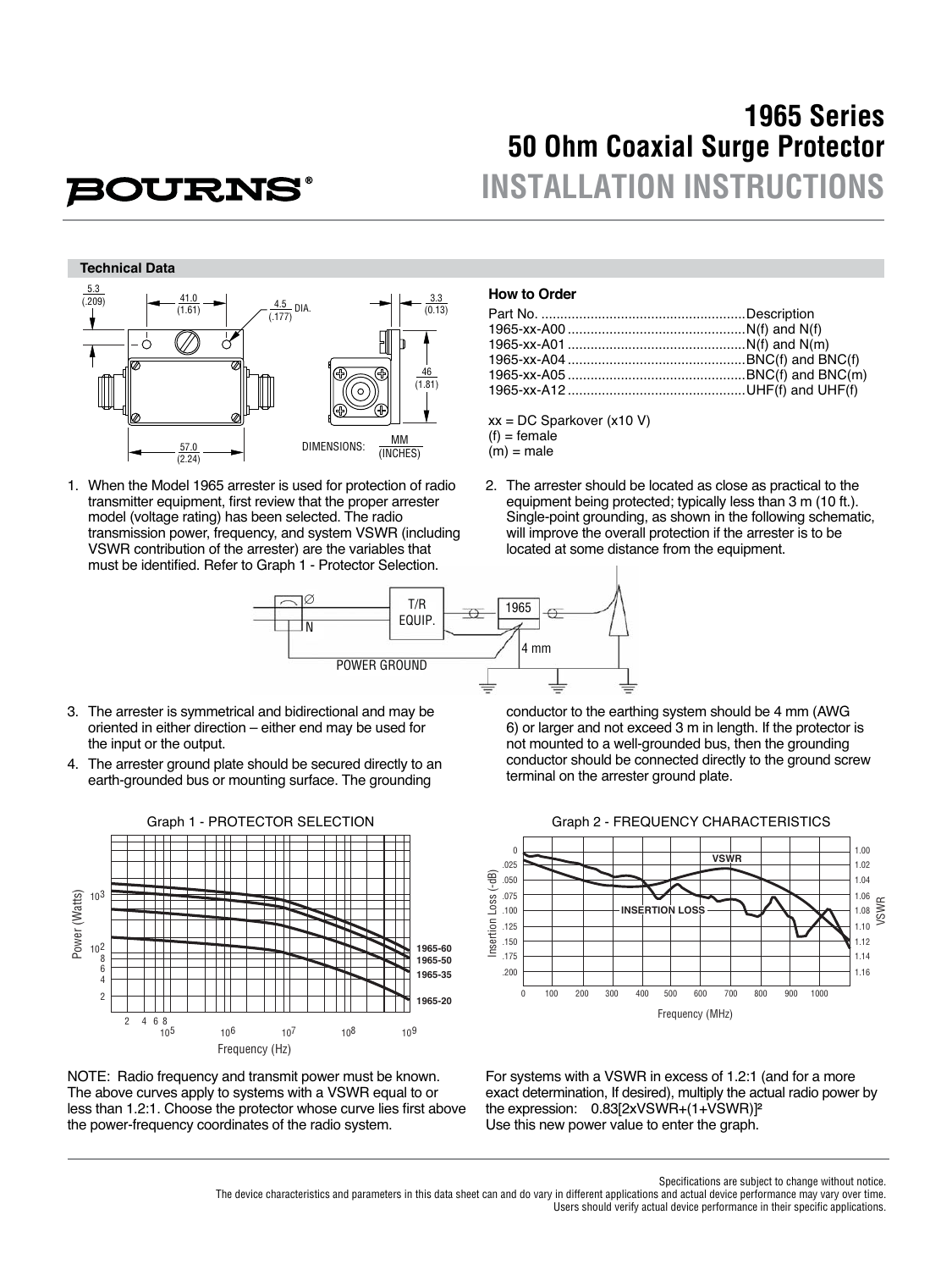## **1965 Series 50 Ohm Coaxial Surge Protector INSTALLATION INSTRUCTIONS**

# **BOURNS**

#### **Technical Data**



1. When the Model 1965 arrester is used for protection of radio transmitter equipment, first review that the proper arrester model (voltage rating) has been selected. The radio transmission power, frequency, and system VSWR (including VSWR contribution of the arrester) are the variables that must be identified. Refer to Graph 1 - Protector Selection.

#### **How to Order**

xx = DC Sparkover (x10 V)  $(f)$  = female  $(m)$  = male

2. The arrester should be located as close as practical to the equipment being protected; typically less than 3 m (10 ft.). Single-point grounding, as shown in the following schematic, will improve the overall protection if the arrester is to be

located at some distance from the equipment.



- 3. The arrester is symmetrical and bidirectional and may be oriented in either direction – either end may be used for the input or the output.
- 4. The arrester ground plate should be secured directly to an earth-grounded bus or mounting surface. The grounding



NOTE: Radio frequency and transmit power must be known. The above curves apply to systems with a VSWR equal to or less than 1.2:1. Choose the protector whose curve lies first above the power-frequency coordinates of the radio system.

 conductor to the earthing system should be 4 mm (AWG 6) or larger and not exceed 3 m in length. If the protector is not mounted to a well-grounded bus, then the grounding conductor should be connected directly to the ground screw terminal on the arrester ground plate.



For systems with a VSWR in excess of 1.2:1 (and for a more exact determination, If desired), multiply the actual radio power by the expression: 0.83[2xVSWR+(1+VSWR)]² Use this new power value to enter the graph.

Specifications are subject to change without notice.

The device characteristics and parameters in this data sheet can and do vary in different applications and actual device performance may vary over time.

Users should verify actual device performance in their specific applications.